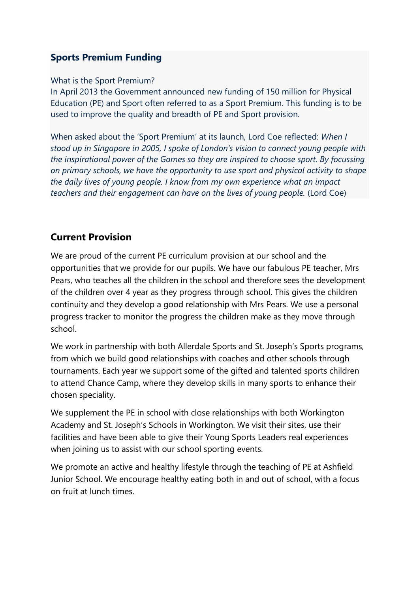## **Sports Premium Funding**

#### What is the Sport Premium?

In April 2013 the Government announced new funding of 150 million for Physical Education (PE) and Sport often referred to as a Sport Premium. This funding is to be used to improve the quality and breadth of PE and Sport provision.

When asked about the 'Sport Premium' at its launch, Lord Coe reflected: *When I stood up in Singapore in 2005, I spoke of London's vision to connect young people with the inspirational power of the Games so they are inspired to choose sport. By focussing on primary schools, we have the opportunity to use sport and physical activity to shape the daily lives of young people. I know from my own experience what an impact teachers and their engagement can have on the lives of young people.* (Lord Coe)

## **Current Provision**

We are proud of the current PE curriculum provision at our school and the opportunities that we provide for our pupils. We have our fabulous PE teacher, Mrs Pears, who teaches all the children in the school and therefore sees the development of the children over 4 year as they progress through school. This gives the children continuity and they develop a good relationship with Mrs Pears. We use a personal progress tracker to monitor the progress the children make as they move through school.

We work in partnership with both Allerdale Sports and St. Joseph's Sports programs, from which we build good relationships with coaches and other schools through tournaments. Each year we support some of the gifted and talented sports children to attend Chance Camp, where they develop skills in many sports to enhance their chosen speciality.

We supplement the PE in school with close relationships with both Workington Academy and St. Joseph's Schools in Workington. We visit their sites, use their facilities and have been able to give their Young Sports Leaders real experiences when joining us to assist with our school sporting events.

We promote an active and healthy lifestyle through the teaching of PE at Ashfield Junior School. We encourage healthy eating both in and out of school, with a focus on fruit at lunch times.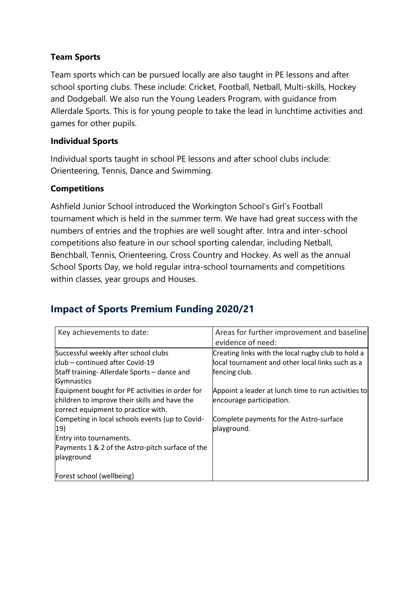### **Team Sports**

Team sports which can be pursued locally are also taught in PE lessons and after school sporting clubs. These include: Cricket, Football, Netball, Multi-skills, Hockey and Dodgeball. We also run the Young Leaders Program, with guidance from Allerdale Sports. This is for young people to take the lead in lunchtime activities and games for other pupils.

### **Individual Sports**

Individual sports taught in school PE lessons and after school clubs include: Orienteering, Tennis, Dance and Swimming.

### **Competitions**

Ashfield Junior School introduced the Workington School's Girl's Football tournament which is held in the summer term. We have had great success with the numbers of entries and the trophies are well sought after. Intra and inter-school competitions also feature in our school sporting calendar, including Netball, Benchball, Tennis, Orienteering, Cross Country and Hockey. As well as the annual School Sports Day, we hold regular intra-school tournaments and competitions within classes, year groups and Houses.

# **Impact of Sports Premium Funding 2020/21**

| Key achievements to date:                        | Areas for further improvement and baseline          |
|--------------------------------------------------|-----------------------------------------------------|
|                                                  | evidence of need:                                   |
| Successful weekly after school clubs             | Creating links with the local rugby club to hold a  |
| lclub – continued after Covid-19                 | local tournament and other local links such as a    |
| Staff training- Allerdale Sports – dance and     | fencing club.                                       |
| Gymnastics                                       |                                                     |
| Equipment bought for PE activities in order for  | Appoint a leader at lunch time to run activities to |
| children to improve their skills and have the    | encourage participation.                            |
| correct equipment to practice with.              |                                                     |
| Competing in local schools events (up to Covid-  | Complete payments for the Astro-surface             |
| 19)                                              | playground.                                         |
| Entry into tournaments.                          |                                                     |
| Payments 1 & 2 of the Astro-pitch surface of the |                                                     |
| playground                                       |                                                     |
|                                                  |                                                     |
| Forest school (wellbeing)                        |                                                     |